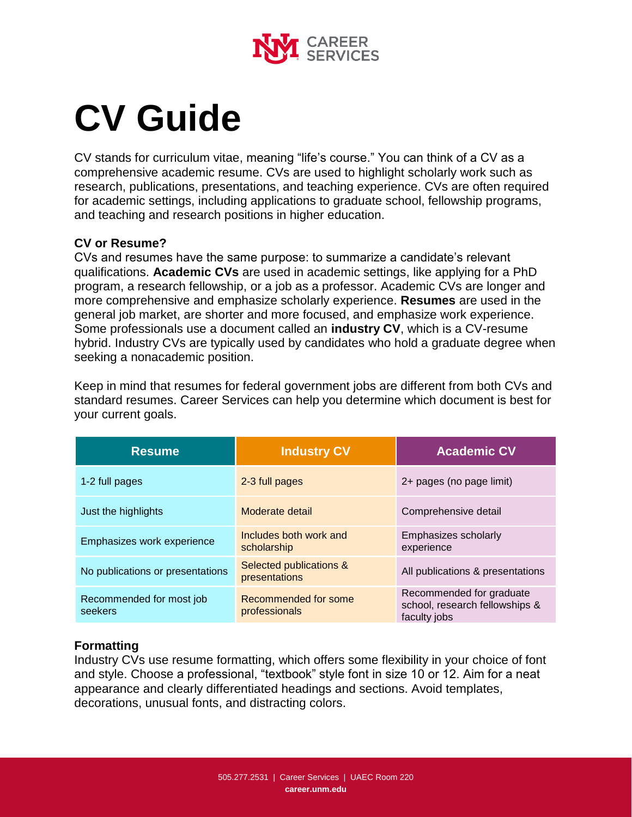

# **CV Guide**

CV stands for curriculum vitae, meaning "life's course." You can think of a CV as a comprehensive academic resume. CVs are used to highlight scholarly work such as research, publications, presentations, and teaching experience. CVs are often required for academic settings, including applications to graduate school, fellowship programs, and teaching and research positions in higher education.

#### **CV or Resume?**

CVs and resumes have the same purpose: to summarize a candidate's relevant qualifications. **Academic CVs** are used in academic settings, like applying for a PhD program, a research fellowship, or a job as a professor. Academic CVs are longer and more comprehensive and emphasize scholarly experience. **Resumes** are used in the general job market, are shorter and more focused, and emphasize work experience. Some professionals use a document called an **industry CV**, which is a CV-resume hybrid. Industry CVs are typically used by candidates who hold a graduate degree when seeking a nonacademic position.

Keep in mind that resumes for federal government jobs are different from both CVs and standard resumes. Career Services can help you determine which document is best for your current goals.

| <b>Resume</b>                       | <b>Industry CV</b>                       | <b>Academic CV</b>                                                         |
|-------------------------------------|------------------------------------------|----------------------------------------------------------------------------|
| 1-2 full pages                      | 2-3 full pages                           | 2+ pages (no page limit)                                                   |
| Just the highlights                 | Moderate detail                          | Comprehensive detail                                                       |
| Emphasizes work experience          | Includes both work and<br>scholarship    | Emphasizes scholarly<br>experience                                         |
| No publications or presentations    | Selected publications &<br>presentations | All publications & presentations                                           |
| Recommended for most job<br>seekers | Recommended for some<br>professionals    | Recommended for graduate<br>school, research fellowships &<br>faculty jobs |

## **Formatting**

Industry CVs use resume formatting, which offers some flexibility in your choice of font and style. Choose a professional, "textbook" style font in size 10 or 12. Aim for a neat appearance and clearly differentiated headings and sections. Avoid templates, decorations, unusual fonts, and distracting colors.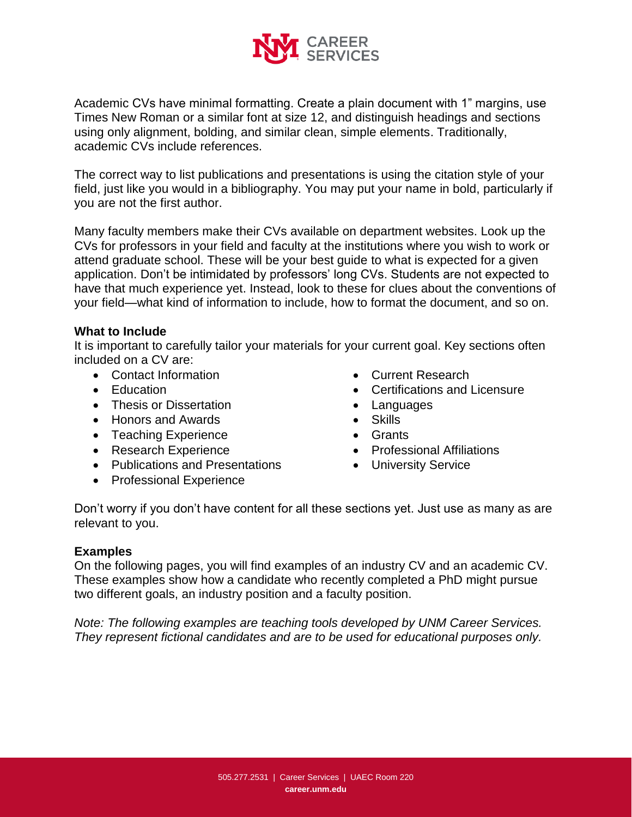

Academic CVs have minimal formatting. Create a plain document with 1" margins, use Times New Roman or a similar font at size 12, and distinguish headings and sections using only alignment, bolding, and similar clean, simple elements. Traditionally, academic CVs include references.

The correct way to list publications and presentations is using the citation style of your field, just like you would in a bibliography. You may put your name in bold, particularly if you are not the first author.

Many faculty members make their CVs available on department websites. Look up the CVs for professors in your field and faculty at the institutions where you wish to work or attend graduate school. These will be your best guide to what is expected for a given application. Don't be intimidated by professors' long CVs. Students are not expected to have that much experience yet. Instead, look to these for clues about the conventions of your field—what kind of information to include, how to format the document, and so on.

#### **What to Include**

It is important to carefully tailor your materials for your current goal. Key sections often included on a CV are:

- Contact Information
- Education
- Thesis or Dissertation
- Honors and Awards
- Teaching Experience
- Research Experience
- Publications and Presentations
- Professional Experience
- Current Research
- Certifications and Licensure
- Languages
- Skills
- Grants
- Professional Affiliations
- University Service

Don't worry if you don't have content for all these sections yet. Just use as many as are relevant to you.

#### **Examples**

On the following pages, you will find examples of an industry CV and an academic CV. These examples show how a candidate who recently completed a PhD might pursue two different goals, an industry position and a faculty position.

*Note: The following examples are teaching tools developed by UNM Career Services. They represent fictional candidates and are to be used for educational purposes only.*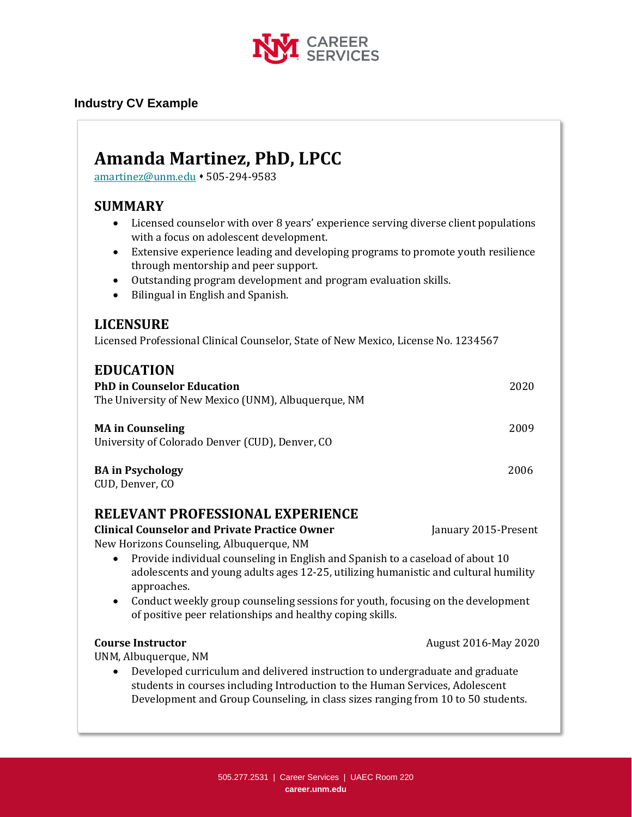

### **Industry CV Example**

# **Amanda Martinez, PhD, LPCC**

[amartinez@unm.edu](mailto:amartinez@unm.edu) ⬧ 505-294-9583

# **SUMMARY**

- Licensed counselor with over 8 years' experience serving diverse client populations with a focus on adolescent development.
- Extensive experience leading and developing programs to promote youth resilience through mentorship and peer support.
- Outstanding program development and program evaluation skills.
- Bilingual in English and Spanish.

# **LICENSURE**

Licensed Professional Clinical Counselor, State of New Mexico, License No. 1234567

# **EDUCATION PhD in Counselor Education** 2020 The University of New Mexico (UNM), Albuquerque, NM **MA in Counseling** 2009 University of Colorado Denver (CUD), Denver, CO

#### **BA in Psychology** 2006

CUD, Denver, CO

# **RELEVANT PROFESSIONAL EXPERIENCE**

**Clinical Counselor and Private Practice Owner January 2015-Present** New Horizons Counseling, Albuquerque, NM

- Provide individual counseling in English and Spanish to a caseload of about 10 adolescents and young adults ages 12-25, utilizing humanistic and cultural humility approaches.
- Conduct weekly group counseling sessions for youth, focusing on the development of positive peer relationships and healthy coping skills.

#### **Course Instructor Course Instructor August 2016-May 2020**

UNM, Albuquerque, NM

• Developed curriculum and delivered instruction to undergraduate and graduate students in courses including Introduction to the Human Services, Adolescent Development and Group Counseling, in class sizes ranging from 10 to 50 students.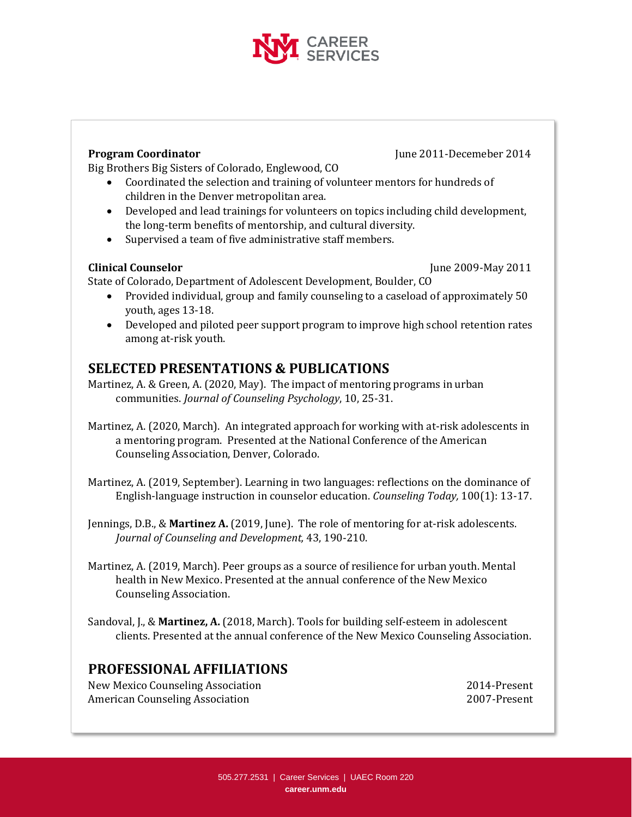

**Program Coordinator June 2011-Decemeber 2014** 

Big Brothers Big Sisters of Colorado, Englewood, CO

- Coordinated the selection and training of volunteer mentors for hundreds of children in the Denver metropolitan area.
- Developed and lead trainings for volunteers on topics including child development, the long-term benefits of mentorship, and cultural diversity.
- Supervised a team of five administrative staff members.

**Clinical Counselor** June 2009-May 2011

State of Colorado, Department of Adolescent Development, Boulder, CO

- Provided individual, group and family counseling to a caseload of approximately 50 youth, ages 13-18.
- Developed and piloted peer support program to improve high school retention rates among at-risk youth.

# **SELECTED PRESENTATIONS & PUBLICATIONS**

Martinez, A. & Green, A. (2020, May). The impact of mentoring programs in urban communities. *Journal of Counseling Psychology*, 10, 25-31.

- Martinez, A. (2020, March). An integrated approach for working with at-risk adolescents in a mentoring program. Presented at the National Conference of the American Counseling Association, Denver, Colorado.
- Martinez, A. (2019, September). Learning in two languages: reflections on the dominance of English-language instruction in counselor education. *Counseling Today,* 100(1): 13-17.
- Jennings, D.B., & **Martinez A.** (2019, June). The role of mentoring for at-risk adolescents. *Journal of Counseling and Development,* 43, 190-210.
- Martinez, A. (2019, March). Peer groups as a source of resilience for urban youth. Mental health in New Mexico. Presented at the annual conference of the New Mexico Counseling Association.
- Sandoval, J., & **Martinez, A.** (2018, March). Tools for building self-esteem in adolescent clients. Presented at the annual conference of the New Mexico Counseling Association.

# **PROFESSIONAL AFFILIATIONS**

New Mexico Counseling Association 2014-Present American Counseling Association 2007-Present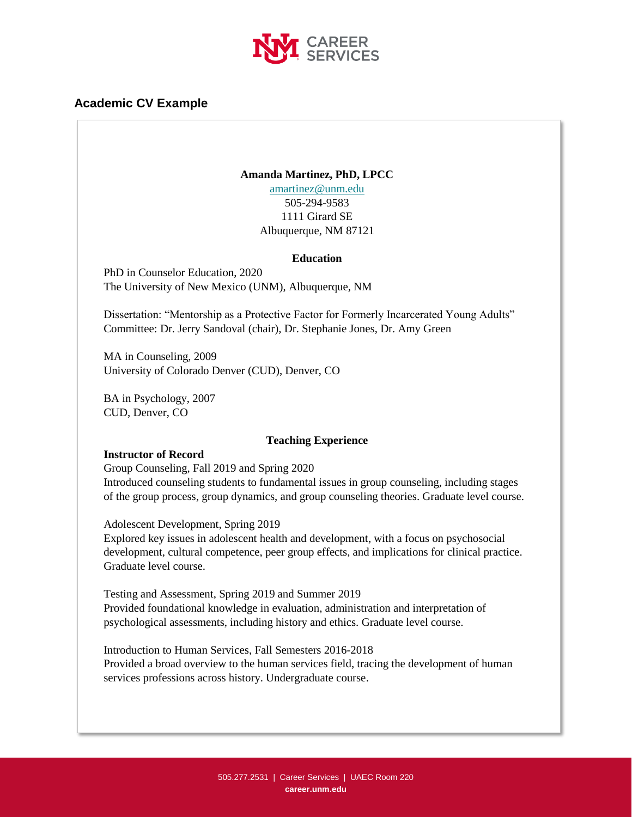

#### **Academic CV Example**

#### **Amanda Martinez, PhD, LPCC**

[amartinez@unm.edu](mailto:amartinez@unm.edu) 505-294-9583 1111 Girard SE Albuquerque, NM 87121

#### **Education**

PhD in Counselor Education, 2020 The University of New Mexico (UNM), Albuquerque, NM

Dissertation: "Mentorship as a Protective Factor for Formerly Incarcerated Young Adults" Committee: Dr. Jerry Sandoval (chair), Dr. Stephanie Jones, Dr. Amy Green

MA in Counseling, 2009 University of Colorado Denver (CUD), Denver, CO

BA in Psychology, 2007 CUD, Denver, CO

#### **Teaching Experience**

#### **Instructor of Record**

Group Counseling, Fall 2019 and Spring 2020 Introduced counseling students to fundamental issues in group counseling, including stages of the group process, group dynamics, and group counseling theories. Graduate level course.

Adolescent Development, Spring 2019

Explored key issues in adolescent health and development, with a focus on psychosocial development, cultural competence, peer group effects, and implications for clinical practice. Graduate level course.

Testing and Assessment, Spring 2019 and Summer 2019 Provided foundational knowledge in evaluation, administration and interpretation of psychological assessments, including history and ethics. Graduate level course.

Introduction to Human Services, Fall Semesters 2016-2018 Provided a broad overview to the human services field, tracing the development of human services professions across history. Undergraduate course.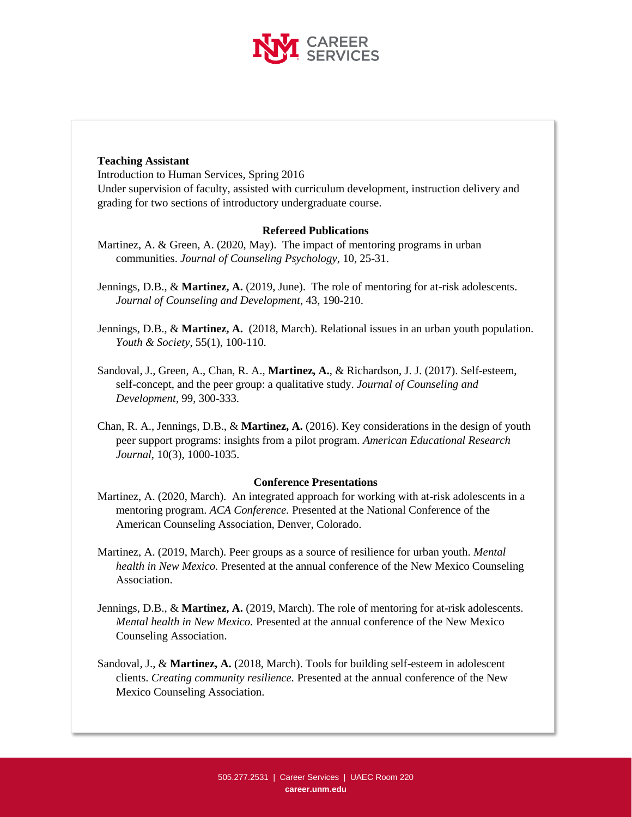

#### **Teaching Assistant**

Introduction to Human Services, Spring 2016 Under supervision of faculty, assisted with curriculum development, instruction delivery and grading for two sections of introductory undergraduate course.

#### **Refereed Publications**

- Martinez, A. & Green, A. (2020, May). The impact of mentoring programs in urban communities. *Journal of Counseling Psychology*, 10, 25-31.
- Jennings, D.B., & **Martinez, A.** (2019, June). The role of mentoring for at-risk adolescents. *Journal of Counseling and Development*, 43, 190-210.
- Jennings, D.B., & **Martinez, A.** (2018, March). Relational issues in an urban youth population. *Youth & Society*, 55(1), 100-110.
- Sandoval, J., Green, A., Chan, R. A., **Martinez, A.**, & Richardson, J. J. (2017). Self-esteem, self-concept, and the peer group: a qualitative study. *Journal of Counseling and Development*, 99, 300-333.
- Chan, R. A., Jennings, D.B., & **Martinez, A.** (2016). Key considerations in the design of youth peer support programs: insights from a pilot program. *American Educational Research Journal*, 10(3), 1000-1035.

#### **Conference Presentations**

- Martinez, A. (2020, March). An integrated approach for working with at-risk adolescents in a mentoring program. *ACA Conference.* Presented at the National Conference of the American Counseling Association, Denver, Colorado.
- Martinez, A. (2019, March). Peer groups as a source of resilience for urban youth. *Mental health in New Mexico.* Presented at the annual conference of the New Mexico Counseling Association.
- Jennings, D.B., & **Martinez, A.** (2019, March). The role of mentoring for at-risk adolescents. *Mental health in New Mexico.* Presented at the annual conference of the New Mexico Counseling Association.
- Sandoval, J., & **Martinez, A.** (2018, March). Tools for building self-esteem in adolescent clients. *Creating community resilience.* Presented at the annual conference of the New Mexico Counseling Association.